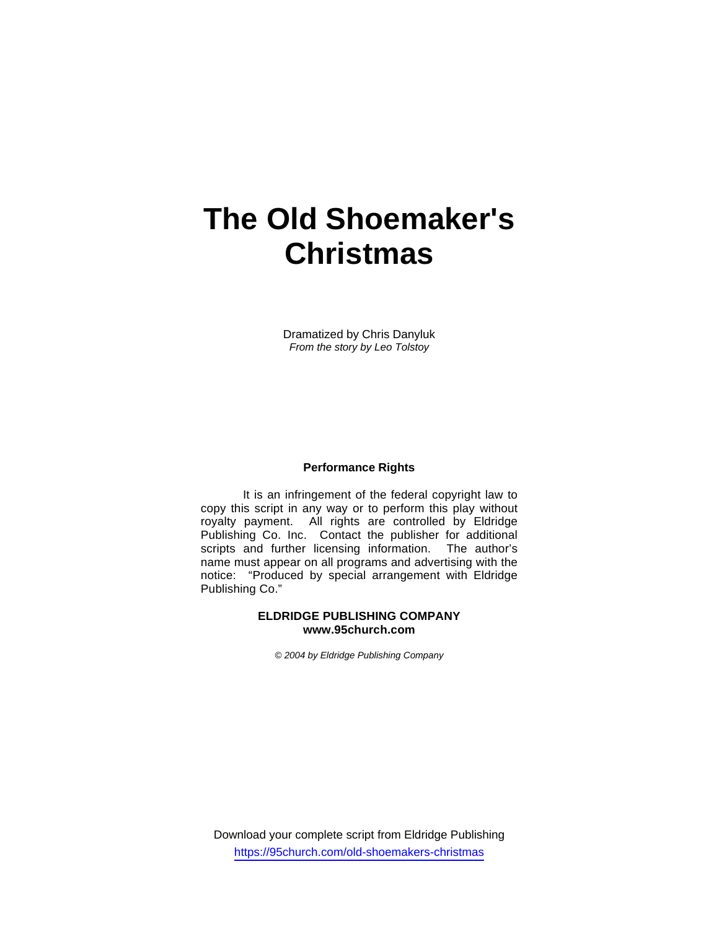# **The Old Shoemaker's Christmas**

Dramatized by Chris Danyluk *From the story by Leo Tolstoy* 

# **Performance Rights**

 It is an infringement of the federal copyright law to copy this script in any way or to perform this play without royalty payment. All rights are controlled by Eldridge Publishing Co. Inc. Contact the publisher for additional scripts and further licensing information. The author's name must appear on all programs and advertising with the notice: "Produced by special arrangement with Eldridge Publishing Co."

## **ELDRIDGE PUBLISHING COMPANY www.95church.com**

*© 2004 by Eldridge Publishing Company* 

Download your complete script from Eldridge Publishing https://95church.com/old-shoemakers-christmas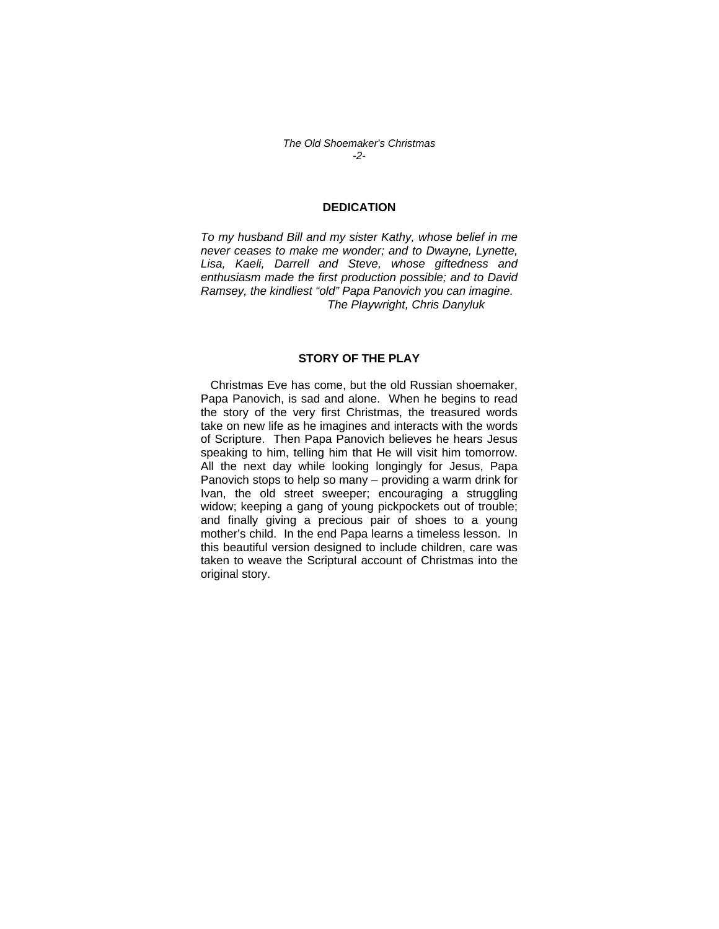*The Old Shoemaker's Christmas -2-* 

# **DEDICATION**

*To my husband Bill and my sister Kathy, whose belief in me never ceases to make me wonder; and to Dwayne, Lynette, Lisa, Kaeli, Darrell and Steve, whose giftedness and enthusiasm made the first production possible; and to David Ramsey, the kindliest "old" Papa Panovich you can imagine. The Playwright, Chris Danyluk* 

### **STORY OF THE PLAY**

 Christmas Eve has come, but the old Russian shoemaker, Papa Panovich, is sad and alone. When he begins to read the story of the very first Christmas, the treasured words take on new life as he imagines and interacts with the words of Scripture. Then Papa Panovich believes he hears Jesus speaking to him, telling him that He will visit him tomorrow. All the next day while looking longingly for Jesus, Papa Panovich stops to help so many – providing a warm drink for Ivan, the old street sweeper; encouraging a struggling widow; keeping a gang of young pickpockets out of trouble; and finally giving a precious pair of shoes to a young mother's child. In the end Papa learns a timeless lesson. In this beautiful version designed to include children, care was taken to weave the Scriptural account of Christmas into the original story.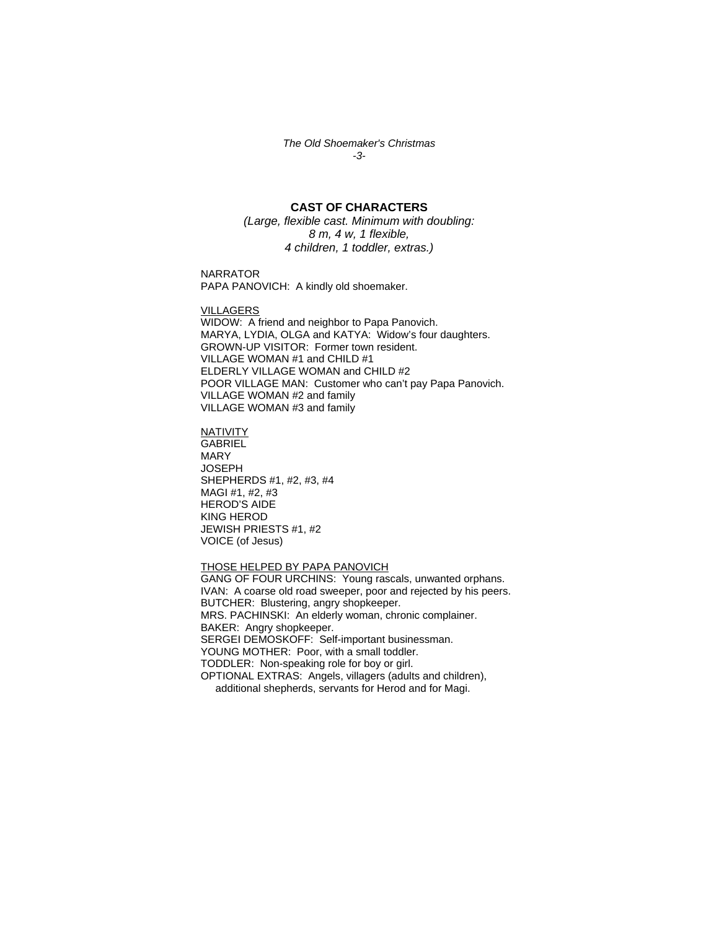*The Old Shoemaker's Christmas -3-* 

# **CAST OF CHARACTERS**

*(Large, flexible cast. Minimum with doubling: 8 m, 4 w, 1 flexible, 4 children, 1 toddler, extras.)* 

**NARRATOR** PAPA PANOVICH: A kindly old shoemaker.

#### VILLAGERS

WIDOW: A friend and neighbor to Papa Panovich. MARYA, LYDIA, OLGA and KATYA: Widow's four daughters. GROWN-UP VISITOR: Former town resident. VILLAGE WOMAN #1 and CHILD #1 ELDERLY VILLAGE WOMAN and CHILD #2 POOR VILLAGE MAN: Customer who can't pay Papa Panovich. VILLAGE WOMAN #2 and family VILLAGE WOMAN #3 and family

# NATIVITY

**GABRIEL** MARY **JOSEPH** SHEPHERDS #1, #2, #3, #4 MAGI #1, #2, #3 HEROD'S AIDE KING HEROD JEWISH PRIESTS #1, #2 VOICE (of Jesus)

#### THOSE HELPED BY PAPA PANOVICH

GANG OF FOUR URCHINS: Young rascals, unwanted orphans. IVAN: A coarse old road sweeper, poor and rejected by his peers. BUTCHER: Blustering, angry shopkeeper. MRS. PACHINSKI: An elderly woman, chronic complainer. BAKER: Angry shopkeeper. SERGEI DEMOSKOFF: Self-important businessman. YOUNG MOTHER: Poor, with a small toddler. TODDLER: Non-speaking role for boy or girl. OPTIONAL EXTRAS: Angels, villagers (adults and children), additional shepherds, servants for Herod and for Magi.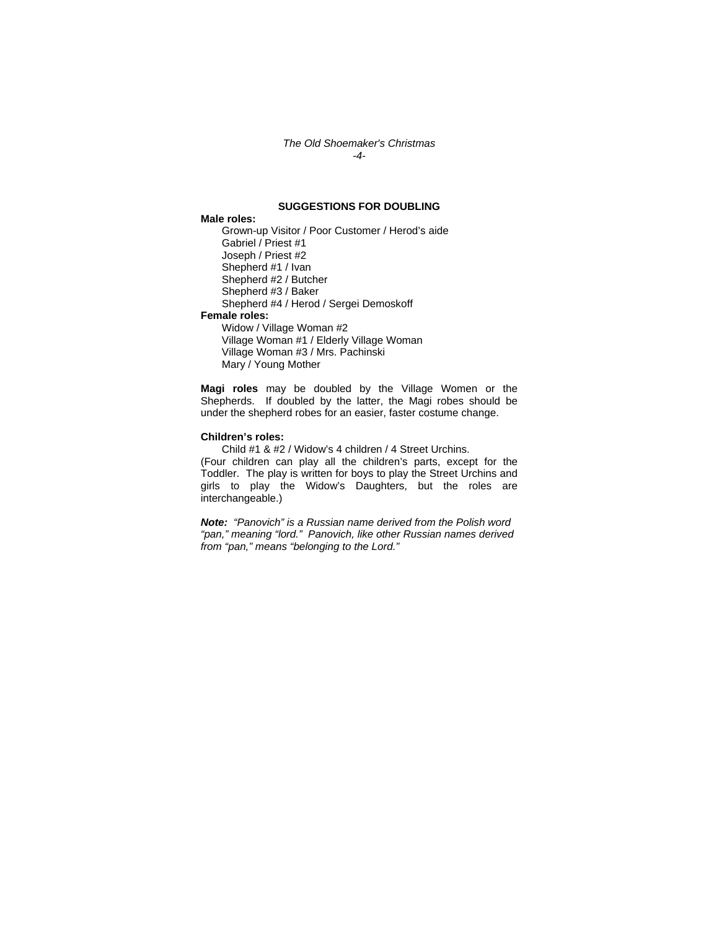#### *The Old Shoemaker's Christmas -4-*

## **SUGGESTIONS FOR DOUBLING**

## **Male roles:**

 Grown-up Visitor / Poor Customer / Herod's aide Gabriel / Priest #1 Joseph / Priest #2 Shepherd #1 / Ivan Shepherd #2 / Butcher Shepherd #3 / Baker Shepherd #4 / Herod / Sergei Demoskoff **Female roles:**  Widow / Village Woman #2 Village Woman #1 / Elderly Village Woman

 Village Woman #3 / Mrs. Pachinski Mary / Young Mother

**Magi roles** may be doubled by the Village Women or the Shepherds. If doubled by the latter, the Magi robes should be under the shepherd robes for an easier, faster costume change.

#### **Children's roles:**

Child #1 & #2 / Widow's 4 children / 4 Street Urchins.

(Four children can play all the children's parts, except for the Toddler. The play is written for boys to play the Street Urchins and girls to play the Widow's Daughters, but the roles are interchangeable.)

*Note: "Panovich" is a Russian name derived from the Polish word "pan," meaning "lord." Panovich, like other Russian names derived from "pan," means "belonging to the Lord."*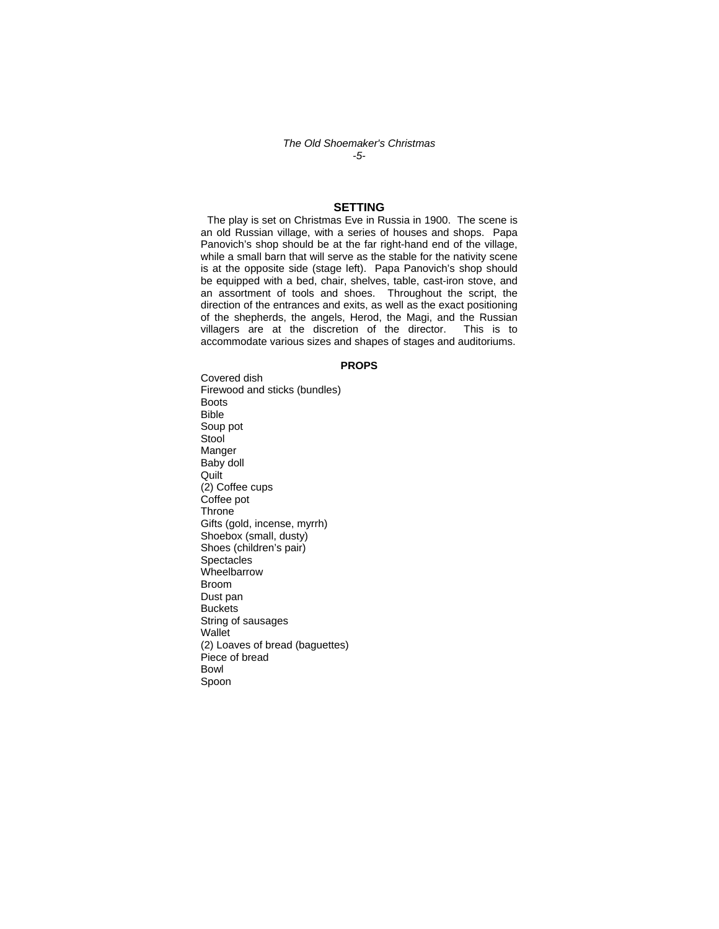#### *The Old Shoemaker's Christmas -5-*

#### **SETTING**

 The play is set on Christmas Eve in Russia in 1900. The scene is an old Russian village, with a series of houses and shops. Papa Panovich's shop should be at the far right-hand end of the village, while a small barn that will serve as the stable for the nativity scene is at the opposite side (stage left). Papa Panovich's shop should be equipped with a bed, chair, shelves, table, cast-iron stove, and an assortment of tools and shoes. Throughout the script, the direction of the entrances and exits, as well as the exact positioning of the shepherds, the angels, Herod, the Magi, and the Russian<br>villagers are at the discretion of the director. This is to villagers are at the discretion of the director. accommodate various sizes and shapes of stages and auditoriums.

#### **PROPS**

Covered dish Firewood and sticks (bundles) Boots Bible Soup pot **Stool** Manger Baby doll **Quilt** (2) Coffee cups Coffee pot **Throne** Gifts (gold, incense, myrrh) Shoebox (small, dusty) Shoes (children's pair) **Spectacles** Wheelbarrow Broom Dust pan **Buckets** String of sausages **Wallet** (2) Loaves of bread (baguettes) Piece of bread Bowl Spoon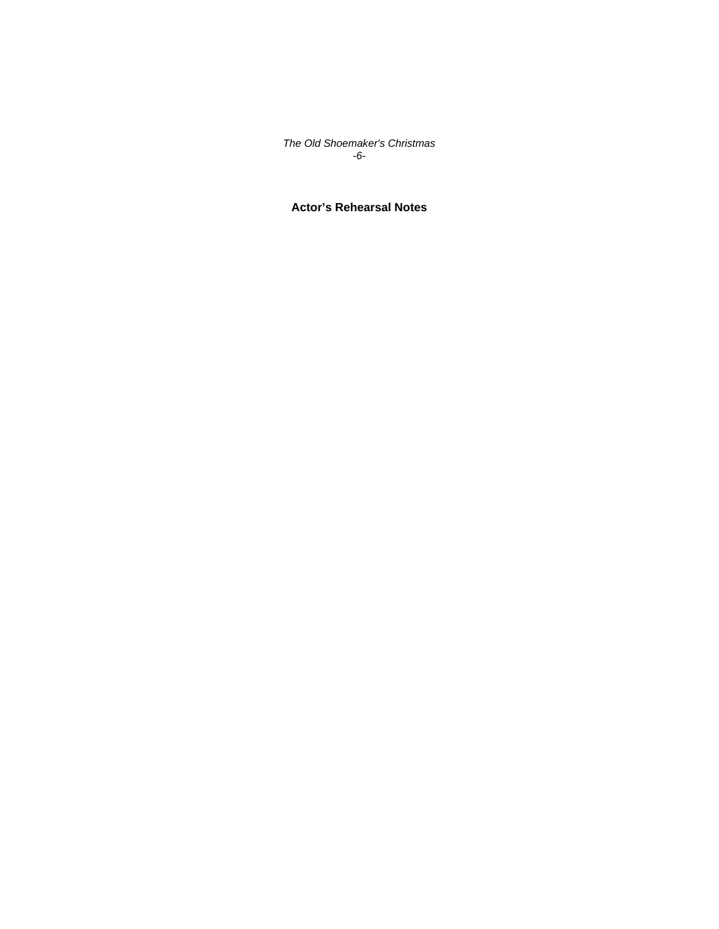*The Old Shoemaker's Christmas -6-* 

# **Actor's Rehearsal Notes**